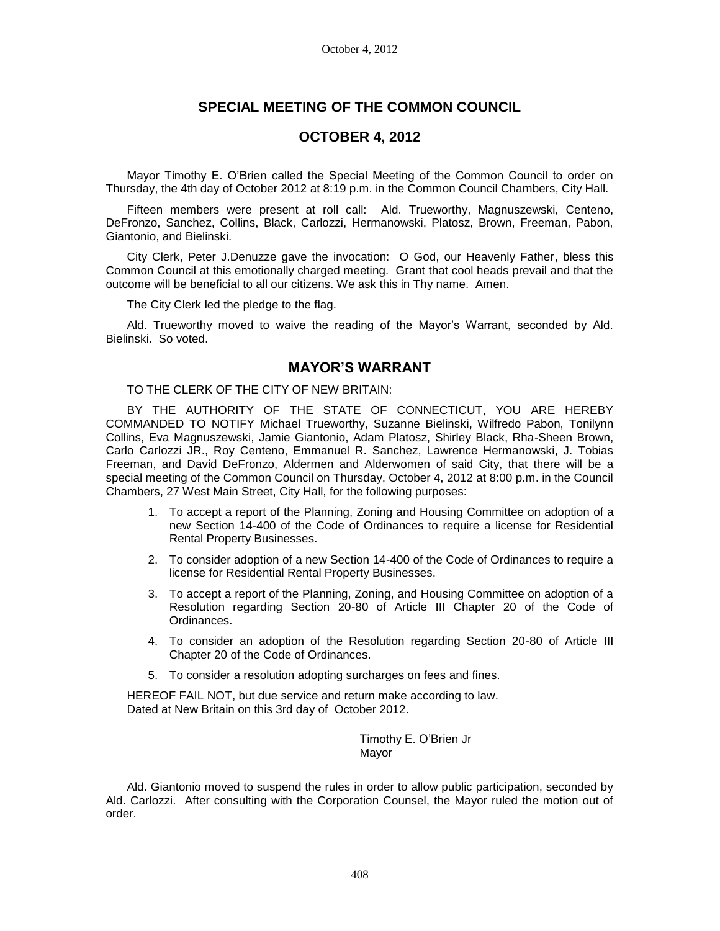# **SPECIAL MEETING OF THE COMMON COUNCIL**

# **OCTOBER 4, 2012**

Mayor Timothy E. O'Brien called the Special Meeting of the Common Council to order on Thursday, the 4th day of October 2012 at 8:19 p.m. in the Common Council Chambers, City Hall.

Fifteen members were present at roll call: Ald. Trueworthy, Magnuszewski, Centeno, DeFronzo, Sanchez, Collins, Black, Carlozzi, Hermanowski, Platosz, Brown, Freeman, Pabon, Giantonio, and Bielinski.

City Clerk, Peter J.Denuzze gave the invocation: O God, our Heavenly Father, bless this Common Council at this emotionally charged meeting. Grant that cool heads prevail and that the outcome will be beneficial to all our citizens. We ask this in Thy name. Amen.

The City Clerk led the pledge to the flag.

Ald. Trueworthy moved to waive the reading of the Mayor's Warrant, seconded by Ald. Bielinski. So voted.

## **MAYOR'S WARRANT**

TO THE CLERK OF THE CITY OF NEW BRITAIN:

BY THE AUTHORITY OF THE STATE OF CONNECTICUT, YOU ARE HEREBY COMMANDED TO NOTIFY Michael Trueworthy, Suzanne Bielinski, Wilfredo Pabon, Tonilynn Collins, Eva Magnuszewski, Jamie Giantonio, Adam Platosz, Shirley Black, Rha-Sheen Brown, Carlo Carlozzi JR., Roy Centeno, Emmanuel R. Sanchez, Lawrence Hermanowski, J. Tobias Freeman, and David DeFronzo, Aldermen and Alderwomen of said City, that there will be a special meeting of the Common Council on Thursday, October 4, 2012 at 8:00 p.m. in the Council Chambers, 27 West Main Street, City Hall, for the following purposes:

- 1. To accept a report of the Planning, Zoning and Housing Committee on adoption of a new Section 14-400 of the Code of Ordinances to require a license for Residential Rental Property Businesses.
- 2. To consider adoption of a new Section 14-400 of the Code of Ordinances to require a license for Residential Rental Property Businesses.
- 3. To accept a report of the Planning, Zoning, and Housing Committee on adoption of a Resolution regarding Section 20-80 of Article III Chapter 20 of the Code of Ordinances.
- 4. To consider an adoption of the Resolution regarding Section 20-80 of Article III Chapter 20 of the Code of Ordinances.
- 5. To consider a resolution adopting surcharges on fees and fines.

HEREOF FAIL NOT, but due service and return make according to law. Dated at New Britain on this 3rd day of October 2012.

> Timothy E. O'Brien Jr Mayor

Ald. Giantonio moved to suspend the rules in order to allow public participation, seconded by Ald. Carlozzi. After consulting with the Corporation Counsel, the Mayor ruled the motion out of order.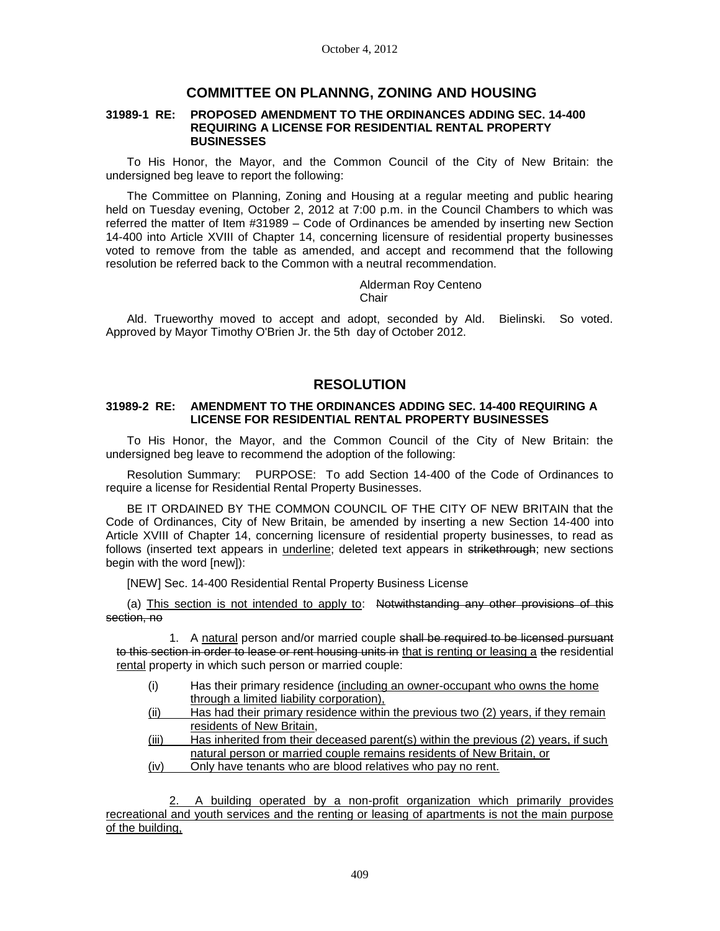## **COMMITTEE ON PLANNNG, ZONING AND HOUSING**

#### **31989-1 RE: PROPOSED AMENDMENT TO THE ORDINANCES ADDING SEC. 14-400 REQUIRING A LICENSE FOR RESIDENTIAL RENTAL PROPERTY BUSINESSES**

To His Honor, the Mayor, and the Common Council of the City of New Britain: the undersigned beg leave to report the following:

The Committee on Planning, Zoning and Housing at a regular meeting and public hearing held on Tuesday evening, October 2, 2012 at 7:00 p.m. in the Council Chambers to which was referred the matter of Item #31989 – Code of Ordinances be amended by inserting new Section 14-400 into Article XVIII of Chapter 14, concerning licensure of residential property businesses voted to remove from the table as amended, and accept and recommend that the following resolution be referred back to the Common with a neutral recommendation.

> Alderman Roy Centeno **Chair**

Ald. Trueworthy moved to accept and adopt, seconded by Ald. Bielinski. So voted. Approved by Mayor Timothy O'Brien Jr. the 5th day of October 2012.

# **RESOLUTION**

### **31989-2 RE: AMENDMENT TO THE ORDINANCES ADDING SEC. 14-400 REQUIRING A LICENSE FOR RESIDENTIAL RENTAL PROPERTY BUSINESSES**

To His Honor, the Mayor, and the Common Council of the City of New Britain: the undersigned beg leave to recommend the adoption of the following:

Resolution Summary: PURPOSE: To add Section 14-400 of the Code of Ordinances to require a license for Residential Rental Property Businesses.

BE IT ORDAINED BY THE COMMON COUNCIL OF THE CITY OF NEW BRITAIN that the Code of Ordinances, City of New Britain, be amended by inserting a new Section 14-400 into Article XVIII of Chapter 14, concerning licensure of residential property businesses, to read as follows (inserted text appears in underline; deleted text appears in strikethrough; new sections begin with the word [new]):

[NEW] Sec. 14-400 Residential Rental Property Business License

(a) This section is not intended to apply to: Notwithstanding any other provisions of this section, no

1. A natural person and/or married couple shall be required to be licensed pursuant to this section in order to lease or rent housing units in that is renting or leasing a the residential rental property in which such person or married couple:

- (i) Has their primary residence (including an owner-occupant who owns the home through a limited liability corporation),
- (ii) Has had their primary residence within the previous two (2) years, if they remain residents of New Britain,
- (iii) Has inherited from their deceased parent(s) within the previous (2) years, if such natural person or married couple remains residents of New Britain, or
- (iv) Only have tenants who are blood relatives who pay no rent.

2. A building operated by a non-profit organization which primarily provides recreational and youth services and the renting or leasing of apartments is not the main purpose of the building,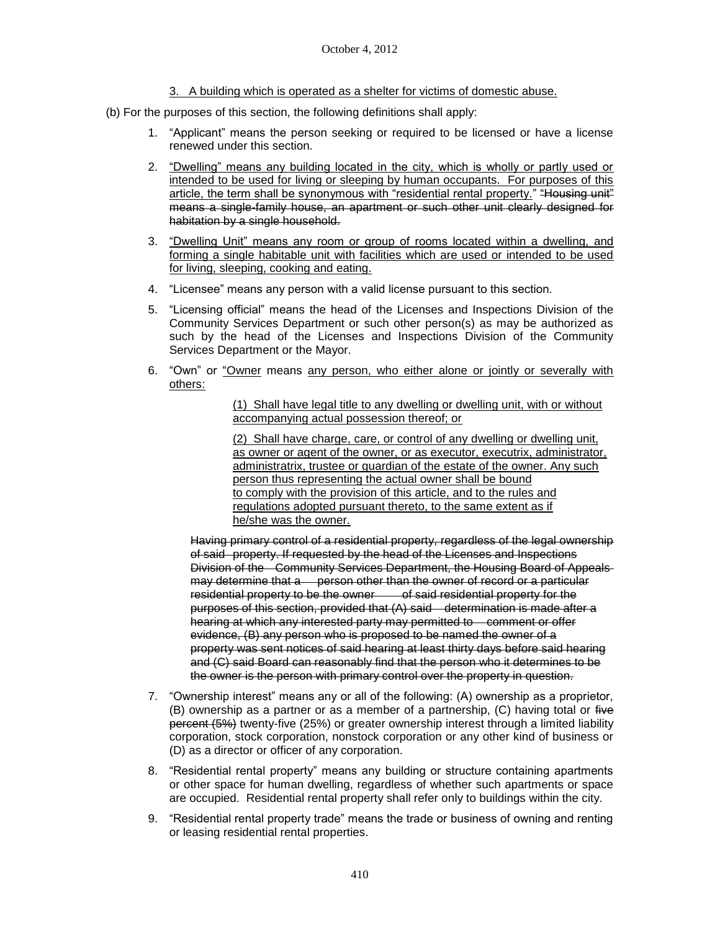- 3. A building which is operated as a shelter for victims of domestic abuse.
- (b) For the purposes of this section, the following definitions shall apply:
	- 1. "Applicant" means the person seeking or required to be licensed or have a license renewed under this section.
	- 2. "Dwelling" means any building located in the city, which is wholly or partly used or intended to be used for living or sleeping by human occupants. For purposes of this article, the term shall be synonymous with "residential rental property." "Housing unit" means a single-family house, an apartment or such other unit clearly designed for habitation by a single household.
	- 3. "Dwelling Unit" means any room or group of rooms located within a dwelling, and forming a single habitable unit with facilities which are used or intended to be used for living, sleeping, cooking and eating.
	- 4. "Licensee" means any person with a valid license pursuant to this section.
	- 5. "Licensing official" means the head of the Licenses and Inspections Division of the Community Services Department or such other person(s) as may be authorized as such by the head of the Licenses and Inspections Division of the Community Services Department or the Mayor.
	- 6. "Own" or "Owner means any person, who either alone or jointly or severally with others:

(1) Shall have legal title to any dwelling or dwelling unit, with or without accompanying actual possession thereof; or

(2) Shall have charge, care, or control of any dwelling or dwelling unit, as owner or agent of the owner, or as executor, executrix, administrator, administratrix, trustee or guardian of the estate of the owner. Any such person thus representing the actual owner shall be bound to comply with the provision of this article, and to the rules and regulations adopted pursuant thereto, to the same extent as if he/she was the owner.

Having primary control of a residential property, regardless of the legal ownership of said property. If requested by the head of the Licenses and Inspections Division of the Community Services Department, the Housing Board of Appeals may determine that a person other than the owner of record or a particular residential property to be the owner of said residential property for the purposes of this section, provided that (A) said determination is made after a hearing at which any interested party may permitted to comment or offer evidence, (B) any person who is proposed to be named the owner of a property was sent notices of said hearing at least thirty days before said hearing and (C) said Board can reasonably find that the person who it determines to be the owner is the person with primary control over the property in question.

- 7. "Ownership interest" means any or all of the following: (A) ownership as a proprietor, (B) ownership as a partner or as a member of a partnership, (C) having total or five percent (5%) twenty-five (25%) or greater ownership interest through a limited liability corporation, stock corporation, nonstock corporation or any other kind of business or (D) as a director or officer of any corporation.
- 8. "Residential rental property" means any building or structure containing apartments or other space for human dwelling, regardless of whether such apartments or space are occupied. Residential rental property shall refer only to buildings within the city.
- 9. "Residential rental property trade" means the trade or business of owning and renting or leasing residential rental properties.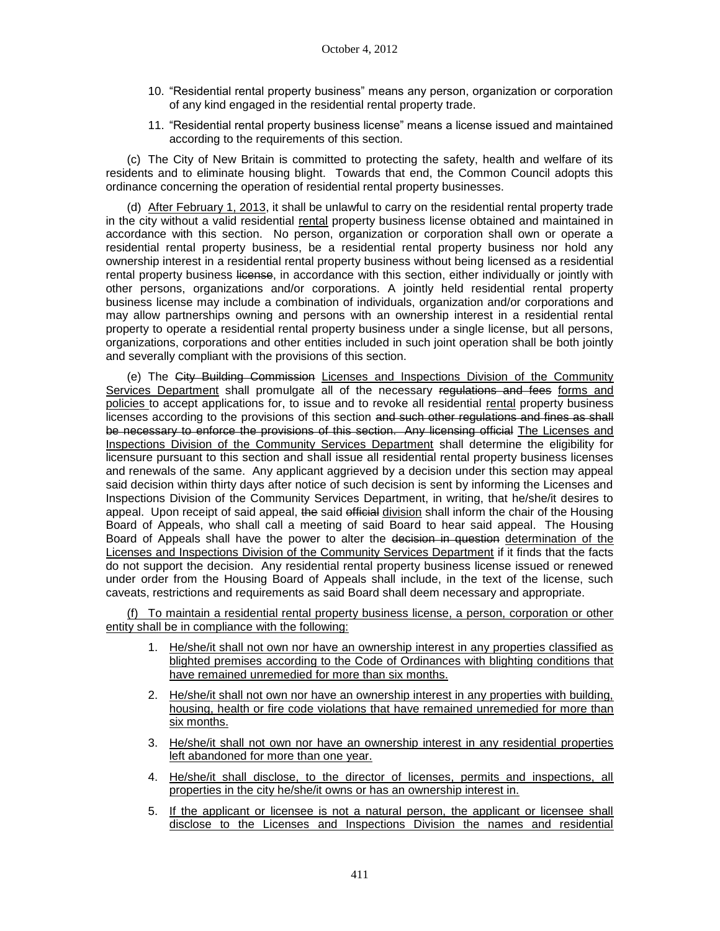- 10. "Residential rental property business" means any person, organization or corporation of any kind engaged in the residential rental property trade.
- 11. "Residential rental property business license" means a license issued and maintained according to the requirements of this section.

(c) The City of New Britain is committed to protecting the safety, health and welfare of its residents and to eliminate housing blight. Towards that end, the Common Council adopts this ordinance concerning the operation of residential rental property businesses.

(d) After February 1, 2013, it shall be unlawful to carry on the residential rental property trade in the city without a valid residential rental property business license obtained and maintained in accordance with this section. No person, organization or corporation shall own or operate a residential rental property business, be a residential rental property business nor hold any ownership interest in a residential rental property business without being licensed as a residential rental property business license, in accordance with this section, either individually or jointly with other persons, organizations and/or corporations. A jointly held residential rental property business license may include a combination of individuals, organization and/or corporations and may allow partnerships owning and persons with an ownership interest in a residential rental property to operate a residential rental property business under a single license, but all persons, organizations, corporations and other entities included in such joint operation shall be both jointly and severally compliant with the provisions of this section.

(e) The City Building Commission Licenses and Inspections Division of the Community Services Department shall promulgate all of the necessary regulations and fees forms and policies to accept applications for, to issue and to revoke all residential rental property business licenses according to the provisions of this section and such other regulations and fines as shall be necessary to enforce the provisions of this section. Any licensing official The Licenses and Inspections Division of the Community Services Department shall determine the eligibility for licensure pursuant to this section and shall issue all residential rental property business licenses and renewals of the same. Any applicant aggrieved by a decision under this section may appeal said decision within thirty days after notice of such decision is sent by informing the Licenses and Inspections Division of the Community Services Department, in writing, that he/she/it desires to appeal. Upon receipt of said appeal, the said efficial division shall inform the chair of the Housing Board of Appeals, who shall call a meeting of said Board to hear said appeal. The Housing Board of Appeals shall have the power to alter the decision in question determination of the Licenses and Inspections Division of the Community Services Department if it finds that the facts do not support the decision. Any residential rental property business license issued or renewed under order from the Housing Board of Appeals shall include, in the text of the license, such caveats, restrictions and requirements as said Board shall deem necessary and appropriate.

(f) To maintain a residential rental property business license, a person, corporation or other entity shall be in compliance with the following:

- 1. He/she/it shall not own nor have an ownership interest in any properties classified as blighted premises according to the Code of Ordinances with blighting conditions that have remained unremedied for more than six months.
- 2. He/she/it shall not own nor have an ownership interest in any properties with building, housing, health or fire code violations that have remained unremedied for more than six months.
- 3. He/she/it shall not own nor have an ownership interest in any residential properties left abandoned for more than one year.
- 4. He/she/it shall disclose, to the director of licenses, permits and inspections, all properties in the city he/she/it owns or has an ownership interest in.
- 5. If the applicant or licensee is not a natural person, the applicant or licensee shall disclose to the Licenses and Inspections Division the names and residential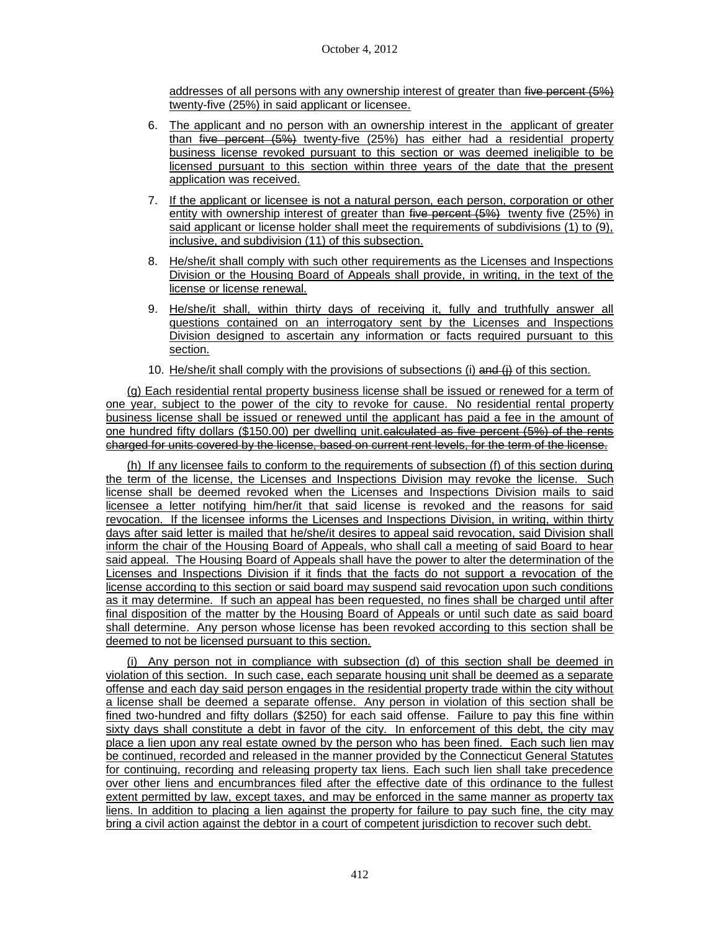addresses of all persons with any ownership interest of greater than five percent (5%) twenty-five (25%) in said applicant or licensee.

- 6. The applicant and no person with an ownership interest in the applicant of greater than  $five$  percent  $(5%)$  twenty-five  $(25%)$  has either had a residential property business license revoked pursuant to this section or was deemed ineligible to be licensed pursuant to this section within three years of the date that the present application was received.
- 7. If the applicant or licensee is not a natural person, each person, corporation or other entity with ownership interest of greater than five percent (5%) twenty five (25%) in said applicant or license holder shall meet the requirements of subdivisions (1) to (9), inclusive, and subdivision (11) of this subsection.
- 8. He/she/it shall comply with such other requirements as the Licenses and Inspections Division or the Housing Board of Appeals shall provide, in writing, in the text of the license or license renewal.
- 9. He/she/it shall, within thirty days of receiving it, fully and truthfully answer all questions contained on an interrogatory sent by the Licenses and Inspections Division designed to ascertain any information or facts required pursuant to this section.
- 10. He/she/it shall comply with the provisions of subsections (i) and  $(i)$  of this section.

(g) Each residential rental property business license shall be issued or renewed for a term of one year, subject to the power of the city to revoke for cause. No residential rental property business license shall be issued or renewed until the applicant has paid a fee in the amount of one hundred fifty dollars (\$150.00) per dwelling unit.calculated as five percent (5%) of the rents charged for units covered by the license, based on current rent levels, for the term of the license.

(h) If any licensee fails to conform to the requirements of subsection (f) of this section during the term of the license, the Licenses and Inspections Division may revoke the license. Such license shall be deemed revoked when the Licenses and Inspections Division mails to said licensee a letter notifying him/her/it that said license is revoked and the reasons for said revocation. If the licensee informs the Licenses and Inspections Division, in writing, within thirty days after said letter is mailed that he/she/it desires to appeal said revocation, said Division shall inform the chair of the Housing Board of Appeals, who shall call a meeting of said Board to hear said appeal. The Housing Board of Appeals shall have the power to alter the determination of the Licenses and Inspections Division if it finds that the facts do not support a revocation of the license according to this section or said board may suspend said revocation upon such conditions as it may determine. If such an appeal has been requested, no fines shall be charged until after final disposition of the matter by the Housing Board of Appeals or until such date as said board shall determine. Any person whose license has been revoked according to this section shall be deemed to not be licensed pursuant to this section.

(i) Any person not in compliance with subsection (d) of this section shall be deemed in violation of this section. In such case, each separate housing unit shall be deemed as a separate offense and each day said person engages in the residential property trade within the city without a license shall be deemed a separate offense. Any person in violation of this section shall be fined two-hundred and fifty dollars (\$250) for each said offense. Failure to pay this fine within sixty days shall constitute a debt in favor of the city. In enforcement of this debt, the city may place a lien upon any real estate owned by the person who has been fined. Each such lien may be continued, recorded and released in the manner provided by the Connecticut General Statutes for continuing, recording and releasing property tax liens. Each such lien shall take precedence over other liens and encumbrances filed after the effective date of this ordinance to the fullest extent permitted by law, except taxes, and may be enforced in the same manner as property tax liens. In addition to placing a lien against the property for failure to pay such fine, the city may bring a civil action against the debtor in a court of competent jurisdiction to recover such debt.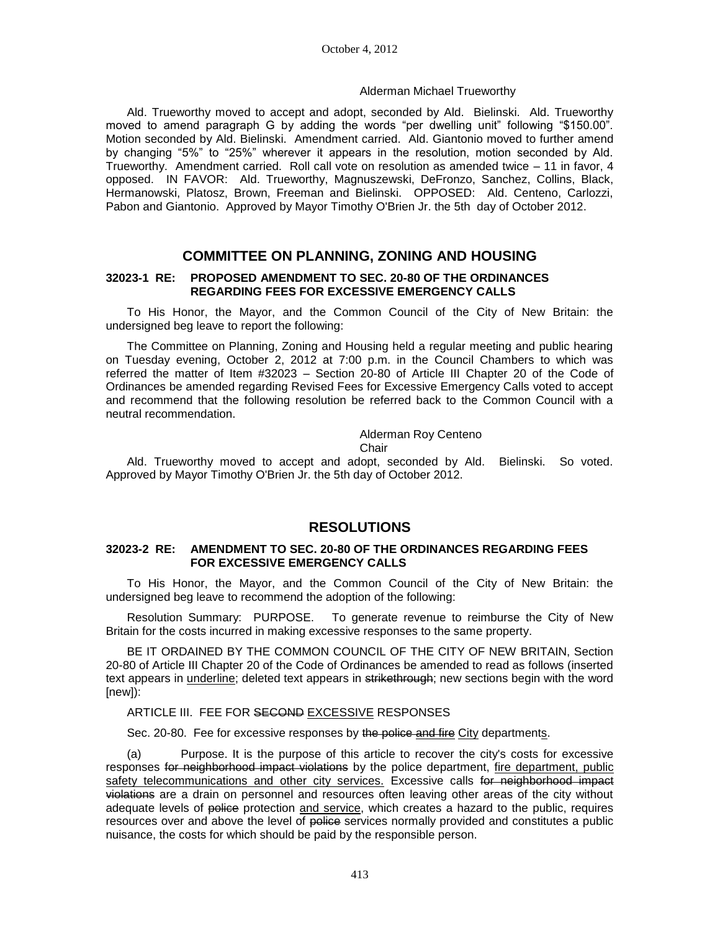#### Alderman Michael Trueworthy

Ald. Trueworthy moved to accept and adopt, seconded by Ald. Bielinski. Ald. Trueworthy moved to amend paragraph G by adding the words "per dwelling unit" following "\$150.00". Motion seconded by Ald. Bielinski. Amendment carried. Ald. Giantonio moved to further amend by changing "5%" to "25%" wherever it appears in the resolution, motion seconded by Ald. Trueworthy. Amendment carried. Roll call vote on resolution as amended twice – 11 in favor, 4 opposed. IN FAVOR: Ald. Trueworthy, Magnuszewski, DeFronzo, Sanchez, Collins, Black, Hermanowski, Platosz, Brown, Freeman and Bielinski. OPPOSED: Ald. Centeno, Carlozzi, Pabon and Giantonio. Approved by Mayor Timothy O'Brien Jr. the 5th day of October 2012.

## **COMMITTEE ON PLANNING, ZONING AND HOUSING**

### **32023-1 RE: PROPOSED AMENDMENT TO SEC. 20-80 OF THE ORDINANCES REGARDING FEES FOR EXCESSIVE EMERGENCY CALLS**

To His Honor, the Mayor, and the Common Council of the City of New Britain: the undersigned beg leave to report the following:

The Committee on Planning, Zoning and Housing held a regular meeting and public hearing on Tuesday evening, October 2, 2012 at 7:00 p.m. in the Council Chambers to which was referred the matter of Item #32023 – Section 20-80 of Article III Chapter 20 of the Code of Ordinances be amended regarding Revised Fees for Excessive Emergency Calls voted to accept and recommend that the following resolution be referred back to the Common Council with a neutral recommendation.

Alderman Roy Centeno

Chair

Ald. Trueworthy moved to accept and adopt, seconded by Ald. Bielinski. So voted. Approved by Mayor Timothy O'Brien Jr. the 5th day of October 2012.

## **RESOLUTIONS**

### **32023-2 RE: AMENDMENT TO SEC. 20-80 OF THE ORDINANCES REGARDING FEES FOR EXCESSIVE EMERGENCY CALLS**

To His Honor, the Mayor, and the Common Council of the City of New Britain: the undersigned beg leave to recommend the adoption of the following:

Resolution Summary: PURPOSE. To generate revenue to reimburse the City of New Britain for the costs incurred in making excessive responses to the same property.

BE IT ORDAINED BY THE COMMON COUNCIL OF THE CITY OF NEW BRITAIN, Section 20-80 of Article III Chapter 20 of the Code of Ordinances be amended to read as follows (inserted text appears in *underline;* deleted text appears in strikethrough; new sections begin with the word [new]):

#### ARTICLE III. FEE FOR SECOND EXCESSIVE RESPONSES

Sec. 20-80. Fee for excessive responses by the police and fire City departments.

(a) Purpose. It is the purpose of this article to recover the city's costs for excessive responses for neighborhood impact violations by the police department, fire department, public safety telecommunications and other city services. Excessive calls for neighborhood impact violations are a drain on personnel and resources often leaving other areas of the city without adequate levels of police protection and service, which creates a hazard to the public, requires resources over and above the level of police services normally provided and constitutes a public nuisance, the costs for which should be paid by the responsible person.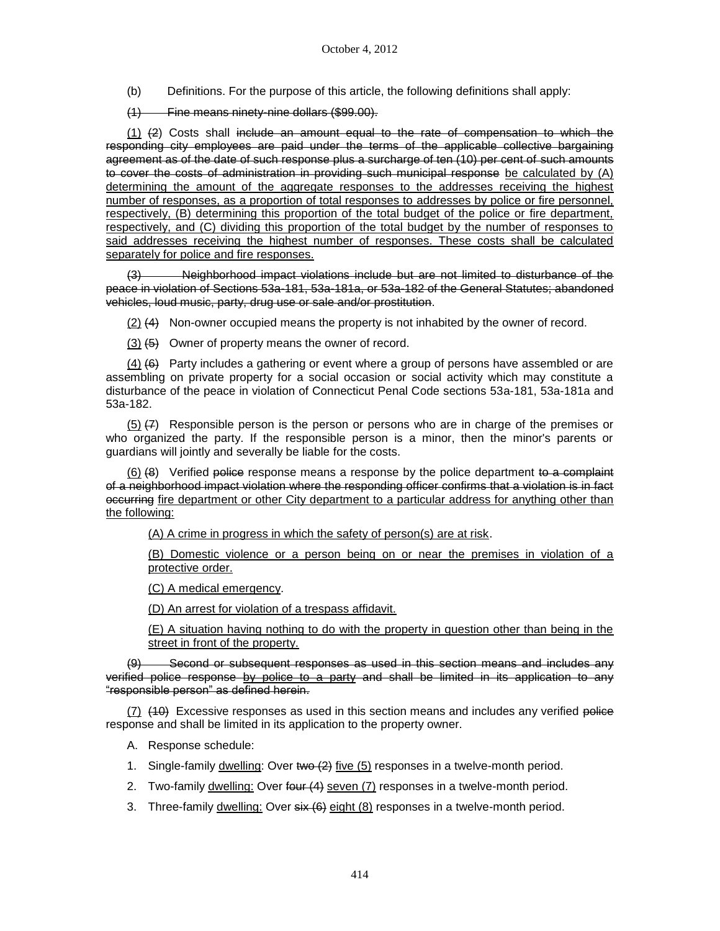(b) Definitions. For the purpose of this article, the following definitions shall apply:

(1) Fine means ninety-nine dollars (\$99.00).

(1) (2) Costs shall include an amount equal to the rate of compensation to which the responding city employees are paid under the terms of the applicable collective bargaining agreement as of the date of such response plus a surcharge of ten (10) per cent of such amounts to cover the costs of administration in providing such municipal response be calculated by (A) determining the amount of the aggregate responses to the addresses receiving the highest number of responses, as a proportion of total responses to addresses by police or fire personnel, respectively, (B) determining this proportion of the total budget of the police or fire department, respectively, and (C) dividing this proportion of the total budget by the number of responses to said addresses receiving the highest number of responses. These costs shall be calculated separately for police and fire responses.

(3) Neighborhood impact violations include but are not limited to disturbance of the peace in violation of Sections 53a-181, 53a-181a, or 53a-182 of the General Statutes; abandoned vehicles, loud music, party, drug use or sale and/or prostitution.

(2) (4) Non-owner occupied means the property is not inhabited by the owner of record.

 $(3)$   $(5)$  Owner of property means the owner of record.

 $(4)$  (6) Party includes a gathering or event where a group of persons have assembled or are assembling on private property for a social occasion or social activity which may constitute a disturbance of the peace in violation of Connecticut Penal Code sections 53a-181, 53a-181a and 53a-182.

 $(5)$   $(7)$  Responsible person is the person or persons who are in charge of the premises or who organized the party. If the responsible person is a minor, then the minor's parents or guardians will jointly and severally be liable for the costs.

 $(6)$  (8) Verified police response means a response by the police department to a complaint of a neighborhood impact violation where the responding officer confirms that a violation is in fact occurring fire department or other City department to a particular address for anything other than the following:

(A) A crime in progress in which the safety of person(s) are at risk.

(B) Domestic violence or a person being on or near the premises in violation of a protective order.

(C) A medical emergency.

(D) An arrest for violation of a trespass affidavit.

(E) A situation having nothing to do with the property in question other than being in the street in front of the property.

Second or subsequent responses as used in this section means and includes any verified police response by police to a party and shall be limited in its application to any "responsible person" as defined herein.

 $(7)$   $(40)$  Excessive responses as used in this section means and includes any verified police response and shall be limited in its application to the property owner.

- A. Response schedule:
- 1. Single-family dwelling: Over  $two (2)$  five  $(5)$  responses in a twelve-month period.
- 2. Two-family dwelling: Over four (4) seven (7) responses in a twelve-month period.
- 3. Three-family dwelling: Over six (6) eight (8) responses in a twelve-month period.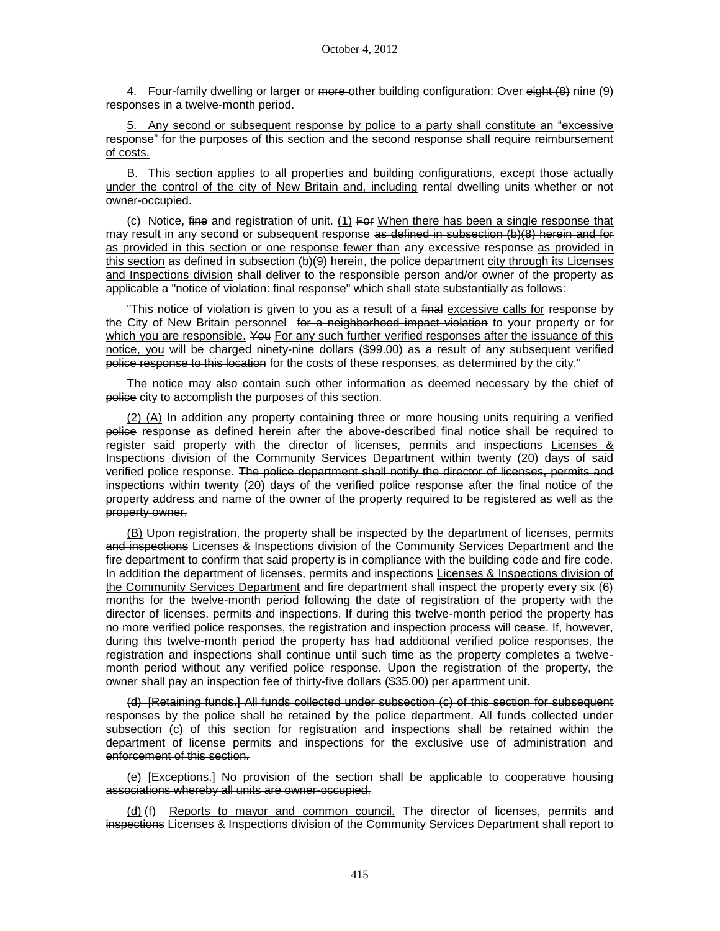4. Four-family dwelling or larger or more other building configuration: Over eight (8) nine (9) responses in a twelve-month period.

5. Any second or subsequent response by police to a party shall constitute an "excessive response" for the purposes of this section and the second response shall require reimbursement of costs.

B. This section applies to all properties and building configurations, except those actually under the control of the city of New Britain and, including rental dwelling units whether or not owner-occupied.

(c) Notice, fine and registration of unit.  $(1)$  For When there has been a single response that may result in any second or subsequent response as defined in subsection (b)(8) herein and for as provided in this section or one response fewer than any excessive response as provided in this section as defined in subsection  $(b)(9)$  herein, the police department city through its Licenses and Inspections division shall deliver to the responsible person and/or owner of the property as applicable a "notice of violation: final response" which shall state substantially as follows:

"This notice of violation is given to you as a result of a final excessive calls for response by the City of New Britain personnel for a neighborhood impact violation to your property or for which you are responsible. You For any such further verified responses after the issuance of this notice, you will be charged ninety-nine dollars (\$99.00) as a result of any subsequent verified police response to this location for the costs of these responses, as determined by the city."

The notice may also contain such other information as deemed necessary by the chief of police city to accomplish the purposes of this section.

(2) (A) In addition any property containing three or more housing units requiring a verified police response as defined herein after the above-described final notice shall be required to register said property with the director of licenses, permits and inspections Licenses & Inspections division of the Community Services Department within twenty (20) days of said verified police response. The police department shall notify the director of licenses, permits and inspections within twenty (20) days of the verified police response after the final notice of the property address and name of the owner of the property required to be registered as well as the property owner.

(B) Upon registration, the property shall be inspected by the department of licenses, permits and inspections Licenses & Inspections division of the Community Services Department and the fire department to confirm that said property is in compliance with the building code and fire code. In addition the department of licenses, permits and inspections Licenses & Inspections division of the Community Services Department and fire department shall inspect the property every six (6) months for the twelve-month period following the date of registration of the property with the director of licenses, permits and inspections. If during this twelve-month period the property has no more verified police responses, the registration and inspection process will cease. If, however, during this twelve-month period the property has had additional verified police responses, the registration and inspections shall continue until such time as the property completes a twelvemonth period without any verified police response. Upon the registration of the property, the owner shall pay an inspection fee of thirty-five dollars (\$35.00) per apartment unit.

(d) [Retaining funds.] All funds collected under subsection (c) of this section for subsequent responses by the police shall be retained by the police department. All funds collected under subsection (c) of this section for registration and inspections shall be retained within the department of license permits and inspections for the exclusive use of administration and enforcement of this section.

(e) [Exceptions.] No provision of the section shall be applicable to cooperative housing associations whereby all units are owner-occupied.

(d) (f) Reports to mayor and common council. The director of licenses, permits and inspections Licenses & Inspections division of the Community Services Department shall report to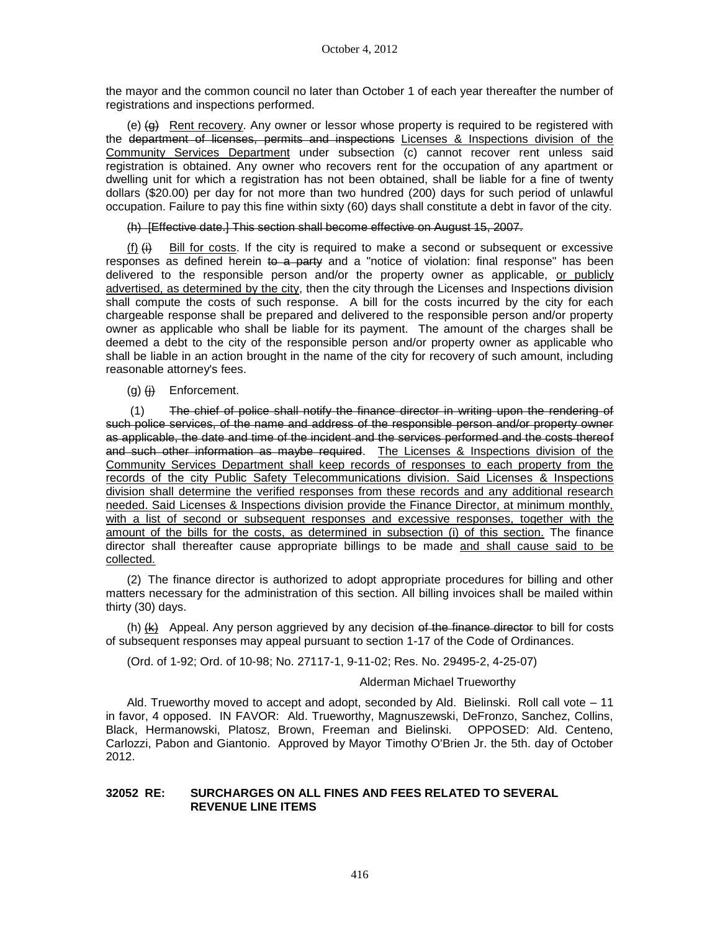the mayor and the common council no later than October 1 of each year thereafter the number of registrations and inspections performed.

(e)  $\left(\theta\right)$  Rent recovery. Any owner or lessor whose property is required to be registered with the department of licenses, permits and inspections Licenses & Inspections division of the Community Services Department under subsection (c) cannot recover rent unless said registration is obtained. Any owner who recovers rent for the occupation of any apartment or dwelling unit for which a registration has not been obtained, shall be liable for a fine of twenty dollars (\$20.00) per day for not more than two hundred (200) days for such period of unlawful occupation. Failure to pay this fine within sixty (60) days shall constitute a debt in favor of the city.

(h) [Effective date.] This section shall become effective on August 15, 2007.

(f)  $(H)$  Bill for costs. If the city is required to make a second or subsequent or excessive responses as defined herein to a party and a "notice of violation: final response" has been delivered to the responsible person and/or the property owner as applicable, or publicly advertised, as determined by the city, then the city through the Licenses and Inspections division shall compute the costs of such response. A bill for the costs incurred by the city for each chargeable response shall be prepared and delivered to the responsible person and/or property owner as applicable who shall be liable for its payment. The amount of the charges shall be deemed a debt to the city of the responsible person and/or property owner as applicable who shall be liable in an action brought in the name of the city for recovery of such amount, including reasonable attorney's fees.

 $(q)$   $(H)$  Enforcement.

(1) The chief of police shall notify the finance director in writing upon the rendering of such police services, of the name and address of the responsible person and/or property owner as applicable, the date and time of the incident and the services performed and the costs thereof and such other information as maybe required. The Licenses & Inspections division of the Community Services Department shall keep records of responses to each property from the records of the city Public Safety Telecommunications division. Said Licenses & Inspections division shall determine the verified responses from these records and any additional research needed. Said Licenses & Inspections division provide the Finance Director, at minimum monthly, with a list of second or subsequent responses and excessive responses, together with the amount of the bills for the costs, as determined in subsection (i) of this section. The finance director shall thereafter cause appropriate billings to be made and shall cause said to be collected.

(2) The finance director is authorized to adopt appropriate procedures for billing and other matters necessary for the administration of this section. All billing invoices shall be mailed within thirty (30) days.

(h)  $(k)$  Appeal. Any person aggrieved by any decision of the finance director to bill for costs of subsequent responses may appeal pursuant to section 1-17 of the Code of Ordinances.

(Ord. of 1-92; Ord. of 10-98; No. 27117-1, 9-11-02; Res. No. 29495-2, 4-25-07)

### Alderman Michael Trueworthy

Ald. Trueworthy moved to accept and adopt, seconded by Ald. Bielinski. Roll call vote – 11 in favor, 4 opposed. IN FAVOR: Ald. Trueworthy, Magnuszewski, DeFronzo, Sanchez, Collins, Black, Hermanowski, Platosz, Brown, Freeman and Bielinski. OPPOSED: Ald. Centeno, Carlozzi, Pabon and Giantonio. Approved by Mayor Timothy O'Brien Jr. the 5th. day of October 2012.

### **32052 RE: SURCHARGES ON ALL FINES AND FEES RELATED TO SEVERAL REVENUE LINE ITEMS**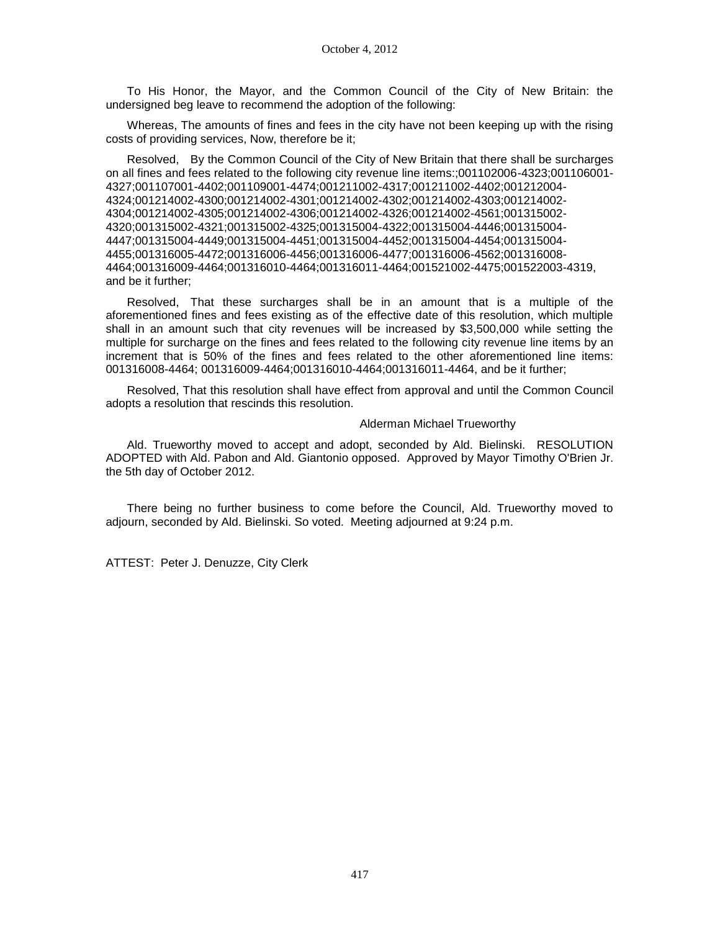To His Honor, the Mayor, and the Common Council of the City of New Britain: the undersigned beg leave to recommend the adoption of the following:

Whereas, The amounts of fines and fees in the city have not been keeping up with the rising costs of providing services, Now, therefore be it;

Resolved, By the Common Council of the City of New Britain that there shall be surcharges on all fines and fees related to the following city revenue line items:;001102006-4323;001106001- 4327;001107001-4402;001109001-4474;001211002-4317;001211002-4402;001212004- 4324;001214002-4300;001214002-4301;001214002-4302;001214002-4303;001214002- 4304;001214002-4305;001214002-4306;001214002-4326;001214002-4561;001315002- 4320;001315002-4321;001315002-4325;001315004-4322;001315004-4446;001315004- 4447;001315004-4449;001315004-4451;001315004-4452;001315004-4454;001315004- 4455;001316005-4472;001316006-4456;001316006-4477;001316006-4562;001316008- 4464;001316009-4464;001316010-4464;001316011-4464;001521002-4475;001522003-4319, and be it further;

Resolved, That these surcharges shall be in an amount that is a multiple of the aforementioned fines and fees existing as of the effective date of this resolution, which multiple shall in an amount such that city revenues will be increased by \$3,500,000 while setting the multiple for surcharge on the fines and fees related to the following city revenue line items by an increment that is 50% of the fines and fees related to the other aforementioned line items: 001316008-4464; 001316009-4464;001316010-4464;001316011-4464, and be it further;

Resolved, That this resolution shall have effect from approval and until the Common Council adopts a resolution that rescinds this resolution.

#### Alderman Michael Trueworthy

Ald. Trueworthy moved to accept and adopt, seconded by Ald. Bielinski. RESOLUTION ADOPTED with Ald. Pabon and Ald. Giantonio opposed. Approved by Mayor Timothy O'Brien Jr. the 5th day of October 2012.

There being no further business to come before the Council, Ald. Trueworthy moved to adjourn, seconded by Ald. Bielinski. So voted. Meeting adjourned at 9:24 p.m.

ATTEST: Peter J. Denuzze, City Clerk